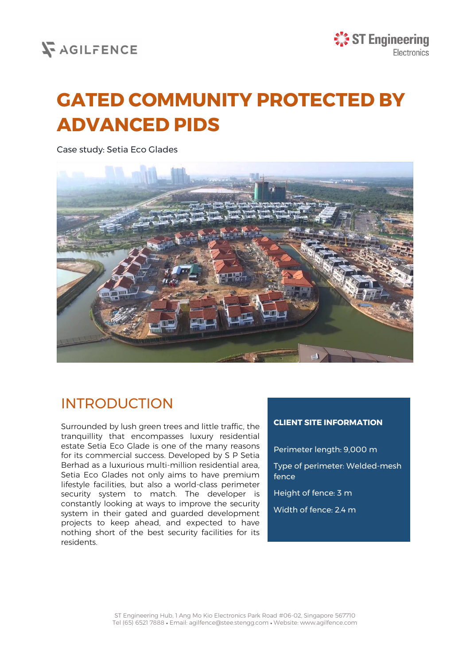## **V**AGILFENCE

# **GATED COMMUNITY PROTECTED BY ADVANCED PIDS**

Case study: Setia Eco Glades



## INTRODUCTION

Surrounded by lush green trees and little traffic, the tranquillity that encompasses luxury residential estate Setia Eco Glade is one of the many reasons for its commercial success. Developed by S P Setia Berhad as a luxurious multi-million residential area, Setia Eco Glades not only aims to have premium lifestyle facilities, but also a world-class perimeter security system to match. The developer is constantly looking at ways to improve the security system in their gated and guarded development projects to keep ahead, and expected to have nothing short of the best security facilities for its residents.

#### **CLIENT SITE INFORMATION**

Perimeter length: 9,000 m

Type of perimeter: Welded-mesh fence

Height of fence: 3 m

Width of fence: 2.4 m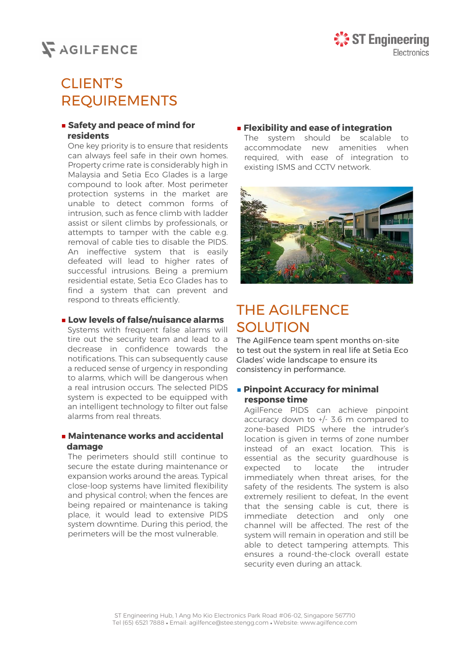## **SAGILFENCE**

## CLIENT'S REQUIREMENTS

#### **■ Safety and peace of mind for residents**

One key priority is to ensure that residents can always feel safe in their own homes. Property crime rate is considerably high in Malaysia and Setia Eco Glades is a large compound to look after. Most perimeter protection systems in the market are unable to detect common forms of intrusion, such as fence climb with ladder assist or silent climbs by professionals, or attempts to tamper with the cable e.g. removal of cable ties to disable the PIDS. An ineffective system that is easily defeated will lead to higher rates of successful intrusions. Being a premium residential estate, Setia Eco Glades has to find a system that can prevent and respond to threats efficiently.

#### **■ Low levels of false/nuisance alarms**

Systems with frequent false alarms will tire out the security team and lead to a decrease in confidence towards the notifications. This can subsequently cause a reduced sense of urgency in responding to alarms, which will be dangerous when a real intrusion occurs. The selected PIDS system is expected to be equipped with an intelligent technology to filter out false alarms from real threats.

#### **■ Maintenance works and accidental damage**

The perimeters should still continue to secure the estate during maintenance or expansion works around the areas. Typical close-loop systems have limited flexibility and physical control; when the fences are being repaired or maintenance is taking place, it would lead to extensive PIDS system downtime. During this period, the perimeters will be the most vulnerable.

#### **■ Flexibility and ease of integration**

The system should be scalable to accommodate new amenities when required, with ease of integration to existing ISMS and CCTV network.



## THE AGILFENCE SOLUTION

The AgilFence team spent months on-site to test out the system in real life at Setia Eco Glades' wide landscape to ensure its consistency in performance.

#### **■ Pinpoint Accuracy for minimal response time**

AgilFence PIDS can achieve pinpoint accuracy down to +/- 3.6 m compared to zone-based PIDS where the intruder's location is given in terms of zone number instead of an exact location. This is essential as the security guardhouse is expected to locate the intruder immediately when threat arises, for the safety of the residents. The system is also extremely resilient to defeat. In the event that the sensing cable is cut, there is immediate detection and only one channel will be affected. The rest of the system will remain in operation and still be able to detect tampering attempts. This ensures a round-the-clock overall estate security even during an attack.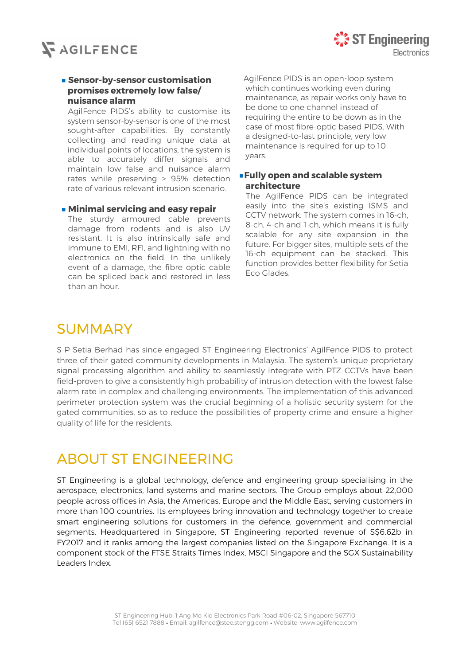

#### **■ Sensor-by-sensor customisation promises extremely low false/ nuisance alarm**

AgilFence PIDS's ability to customise its system sensor-by-sensor is one of the most sought-after capabilities. By constantly collecting and reading unique data at individual points of locations, the system is able to accurately differ signals and maintain low false and nuisance alarm rates while preserving > 95% detection rate of various relevant intrusion scenario.

#### **■ Minimal servicing and easy repair**

The sturdy armoured cable prevents damage from rodents and is also UV resistant. It is also intrinsically safe and immune to EMI, RFI, and lightning with no electronics on the field. In the unlikely event of a damage, the fibre optic cable can be spliced back and restored in less than an hour.

AgilFence PIDS is an open-loop system which continues working even during maintenance, as repair works only have to be done to one channel instead of requiring the entire to be down as in the case of most fibre-optic based PIDS. With a designed-to-last principle, very low maintenance is required for up to 10 years.

#### **■Fully open and scalable system architecture**

The AgilFence PIDS can be integrated easily into the site's existing ISMS and CCTV network. The system comes in 16-ch, 8-ch, 4-ch and 1-ch, which means it is fully scalable for any site expansion in the future. For bigger sites, multiple sets of the 16-ch equipment can be stacked. This function provides better flexibility for Setia Eco Glades.

### SUMMARY

S P Setia Berhad has since engaged ST Engineering Electronics' AgilFence PIDS to protect three of their gated community developments in Malaysia. The system's unique proprietary signal processing algorithm and ability to seamlessly integrate with PTZ CCTVs have been field-proven to give a consistently high probability of intrusion detection with the lowest false alarm rate in complex and challenging environments. The implementation of this advanced perimeter protection system was the crucial beginning of a holistic security system for the gated communities, so as to reduce the possibilities of property crime and ensure a higher quality of life for the residents.

### ABOUT ST ENGINEERING

ST Engineering is a global technology, defence and engineering group specialising in the aerospace, electronics, land systems and marine sectors. The Group employs about 22,000 people across offices in Asia, the Americas, Europe and the Middle East, serving customers in more than 100 countries. Its employees bring innovation and technology together to create smart engineering solutions for customers in the defence, government and commercial segments. Headquartered in Singapore, ST Engineering reported revenue of S\$6.62b in FY2017 and it ranks among the largest companies listed on the Singapore Exchange. It is a component stock of the FTSE Straits Times Index, MSCI Singapore and the SGX Sustainability Leaders Index.